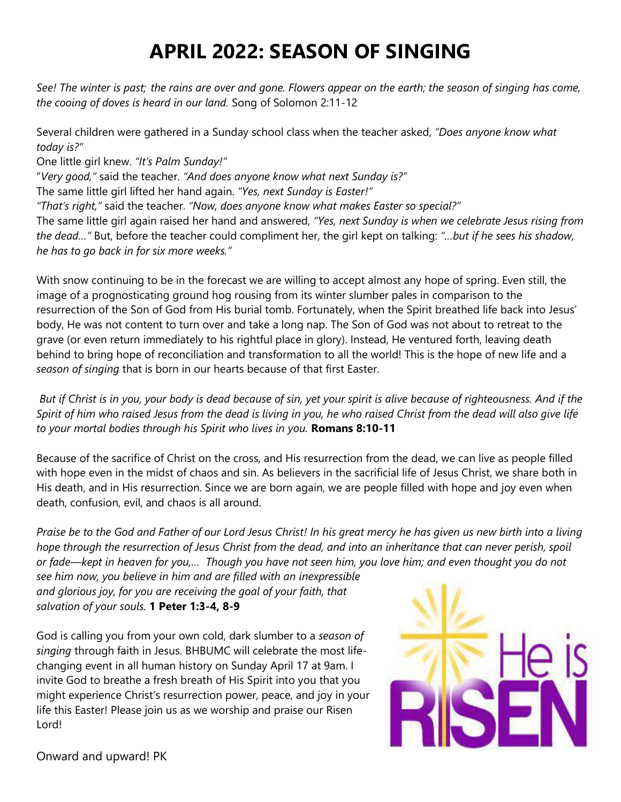## **APRIL 2022: SEASON OF SINGING**

*See! The winter is past; the rains are over and gone. Flowers appear on the earth; the season of singing has come, the cooing of doves is heard in our land.* Song of Solomon 2:11-12

Several children were gathered in a Sunday school class when the teacher asked, *"Does anyone know what today is?"*

One little girl knew. *"It's Palm Sunday!"*

"*Very good,"* said the teacher. *"And does anyone know what next Sunday is?"*

The same little girl lifted her hand again. *"Yes, next Sunday is Easter!"*

*"That's right,"* said the teacher. *"Now, does anyone know what makes Easter so special?"*

The same little girl again raised her hand and answered, *"Yes, next Sunday is when we celebrate Jesus rising from the dead…"* But, before the teacher could compliment her, the girl kept on talking: *"…but if he sees his shadow, he has to go back in for six more weeks."*

With snow continuing to be in the forecast we are willing to accept almost any hope of spring. Even still, the image of a prognosticating ground hog rousing from its winter slumber pales in comparison to the resurrection of the Son of God from His burial tomb. Fortunately, when the Spirit breathed life back into Jesus' body, He was not content to turn over and take a long nap. The Son of God was not about to retreat to the grave (or even return immediately to his rightful place in glory). Instead, He ventured forth, leaving death behind to bring hope of reconciliation and transformation to all the world! This is the hope of new life and a *season of singing* that is born in our hearts because of that first Easter.

*But if Christ is in you, your body is dead because of sin, yet your spirit is alive because of righteousness. And if the Spirit of him who raised Jesus from the dead is living in you, he who raised Christ from the dead will also give life to your mortal bodies through his Spirit who lives in you.* **Romans 8:10-11**

Because of the sacrifice of Christ on the cross, and His resurrection from the dead, we can live as people filled with hope even in the midst of chaos and sin. As believers in the sacrificial life of Jesus Christ, we share both in His death, and in His resurrection. Since we are born again, we are people filled with hope and joy even when death, confusion, evil, and chaos is all around.

*Praise be to the God and Father of our Lord Jesus Christ! In his great mercy he has given us new birth into a living hope through the resurrection of Jesus Christ from the dead, and into an inheritance that can never perish, spoil or fade—kept in heaven for you,… Though you have not seen him, you love him; and even thought you do not* 

*see him now, you believe in him and are filled with an inexpressible and glorious joy, for you are receiving the goal of your faith, that salvation of your souls.* **1 Peter 1:3-4, 8-9**

God is calling you from your own cold, dark slumber to a *season of singing* through faith in Jesus. BHBUMC will celebrate the most lifechanging event in all human history on Sunday April 17 at 9am. I invite God to breathe a fresh breath of His Spirit into you that you might experience Christ's resurrection power, peace, and joy in your life this Easter! Please join us as we worship and praise our Risen Lord!



Onward and upward! PK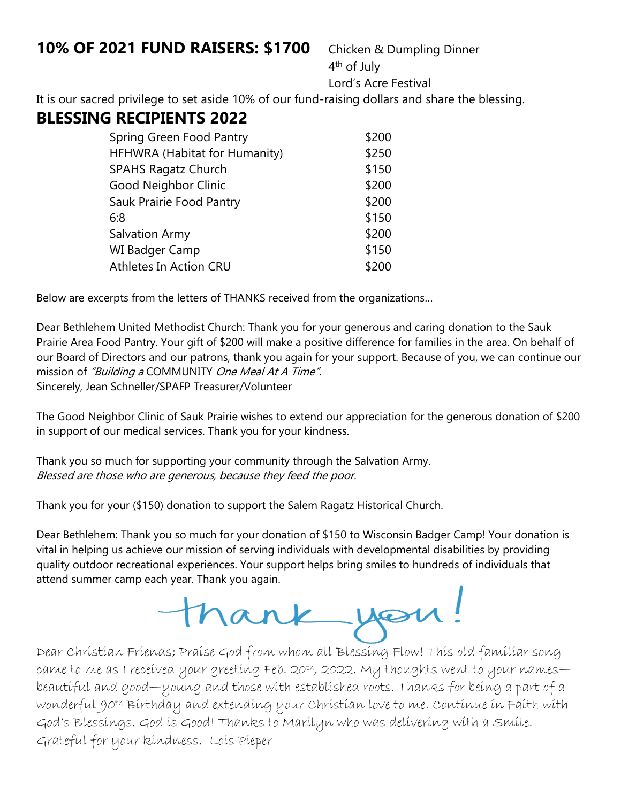#### **10% OF 2021 FUND RAISERS: \$1700** Chicken & Dumpling Dinner

4<sup>th</sup> of July Lord's Acre Festival

It is our sacred privilege to set aside 10% of our fund-raising dollars and share the blessing.

#### **BLESSING RECIPIENTS 2022**

| Spring Green Food Pantry      | \$200 |
|-------------------------------|-------|
| HFHWRA (Habitat for Humanity) | \$250 |
| <b>SPAHS Ragatz Church</b>    | \$150 |
| Good Neighbor Clinic          | \$200 |
| Sauk Prairie Food Pantry      | \$200 |
| 6:8                           | \$150 |
| Salvation Army                | \$200 |
| <b>WI Badger Camp</b>         | \$150 |
| Athletes In Action CRU        | \$200 |

Below are excerpts from the letters of THANKS received from the organizations…

Dear Bethlehem United Methodist Church: Thank you for your generous and caring donation to the Sauk Prairie Area Food Pantry. Your gift of \$200 will make a positive difference for families in the area. On behalf of our Board of Directors and our patrons, thank you again for your support. Because of you, we can continue our mission of "Building a COMMUNITY One Meal At A Time". Sincerely, Jean Schneller/SPAFP Treasurer/Volunteer

The Good Neighbor Clinic of Sauk Prairie wishes to extend our appreciation for the generous donation of \$200 in support of our medical services. Thank you for your kindness.

Thank you so much for supporting your community through the Salvation Army. Blessed are those who are generous, because they feed the poor.

Thank you for your (\$150) donation to support the Salem Ragatz Historical Church.

Dear Bethlehem: Thank you so much for your donation of \$150 to Wisconsin Badger Camp! Your donation is vital in helping us achieve our mission of serving individuals with developmental disabilities by providing quality outdoor recreational experiences. Your support helps bring smiles to hundreds of individuals that attend summer camp each year. Thank you again.

thank you!

Dear Christian Friends; Praise God from whom all Blessing Flow! This old familiar song came to me as I received your greeting Feb. 20th, 2022. My thoughts went to your names beautiful and good—young and those with established roots. Thanks for being a part of a wonderful 90th Birthday and extending your Christian love to me. Continue in Faith with God's Blessings. God is Good! Thanks to Marilyn who was delivering with a Smile. Grateful for your kindness. Lois Pieper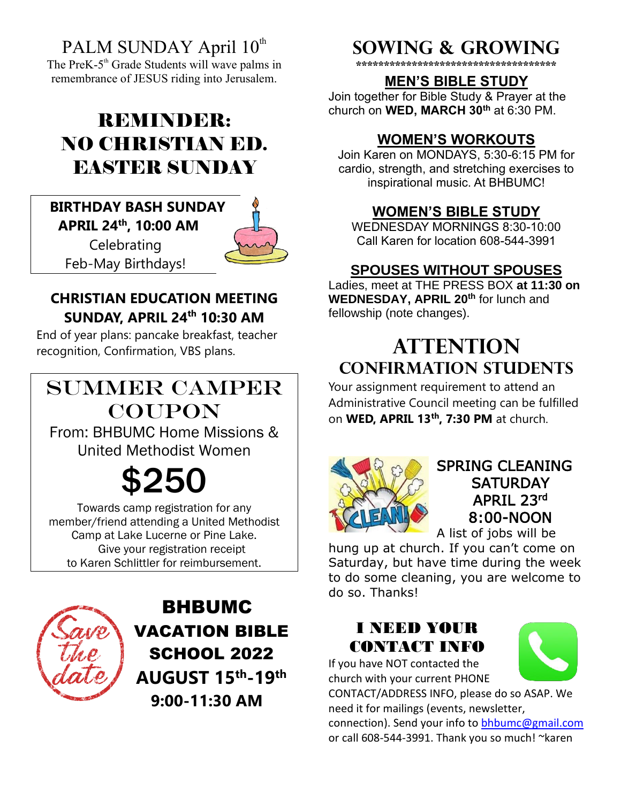PALM SUNDAY April 10<sup>th</sup>

The PreK- $5<sup>th</sup>$  Grade Students will wave palms in remembrance of JESUS riding into Jerusalem.

## REMINDER: NO CHRISTIAN ED. EASTER SUNDAY

**BIRTHDAY BASH SUNDAY APRIL 24 th, 10:00 AM Celebrating** Feb-May Birthdays!



#### **CHRISTIAN EDUCATION MEETING SUNDAY, APRIL 24th 10:30 AM**

End of year plans: pancake breakfas[t, teacher](https://creativecommons.org/licenses/by-sa/3.0/)  recognition, Confirmation, VBS plans.

## Summer CAMPER **COUPON**

From: BHBUMC Home Missions & United Methodist Women

# \$250

Towards camp registration for any member/friend attending a United Methodist Camp at Lake Lucerne or Pine Lake. Give your registration receipt to Karen Schlittler for reimbursement.



BHBUMC VACATION BIBLE **SCHOOL 2022 AUGUST 15th -19th 9:00-11:30 AM**

**SOWING & GROWING**

\*\*\*\*\*\*\*\*\*\*\*\*\*\*\*\*\*\*\*\*\*\*\*\*\*\*\*\*\*\*\*\*\*\*\*\*

#### **MEN'S BIBLE STUDY**

Join together for Bible Study & Prayer at the church on **WED, MARCH 30th** at 6:30 PM.

#### **WOMEN'S WORKOUTS**

Join Karen on MONDAYS, 5:30-6:15 PM for cardio, strength, and stretching exercises to inspirational music. At BHBUMC!

#### **WOMEN'S BIBLE STUDY**

WEDNESDAY MORNINGS 8:30-10:00 Call Karen for location 608-544-3991

#### **SPOUSES WITHOUT SPOUSES**

Ladies, meet at THE PRESS BOX **at 11:30 on WEDNESDAY, APRIL 20th** for lunch and fellowship (note changes).

### **ATTENTION Confirmation STUDENTS**

Your assignment requirement to attend an Administrative Council meeting can be fulfilled on **WED, APRIL 13th, 7:30 PM** at church.



#### SPRING CLEANING **SATURDAY** APRIL 23rd 8:00-NOON

A list of jobs will be

hung up at church. If you can't come on Saturday, but have time during the week to do some cleaning, you are welcome to do so. Thanks!

#### I NEED YOUR CONTACT INFO



If you have NOT contacted the church with your current PHONE

CONTACT/ADDRESS INFO, please do so ASAP. We need it for mailings (events, newsletter,

connection). Send your info to [bhbumc@gmail.com](mailto:bhbumc@gmail.com)  or call 608-544-3991. Thank you so much! ~karen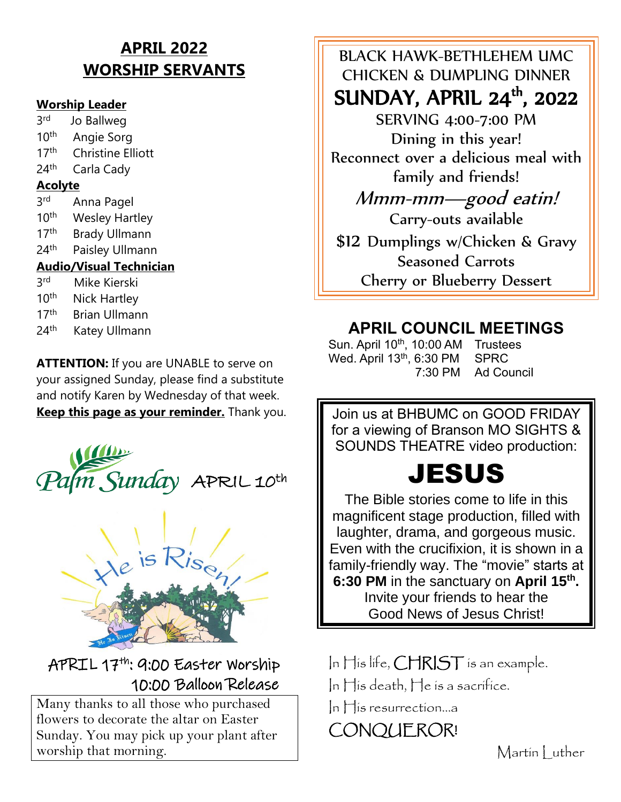### **APRIL 2022 WORSHIP SERVANTS**

#### **Worship Leader**

3 rd Jo Ballweg  $10<sup>th</sup>$ Angie Sorg 17<sup>th</sup> Christine Elliott 24<sup>th</sup> Carla Cady **Acolyte** 3 rd Anna Pagel  $10<sup>th</sup>$ **Wesley Hartley** 17th Brady Ullmann 24<sup>th</sup> Paisley Ullmann **Audio/Visual Technician** 3 rd Mike Kierski  $10<sup>th</sup>$ Nick Hartley 17th Brian Ullmann 24<sup>th</sup> Katey Ullmann

**ATTENTION:** If you are UNABLE to serve on your assigned Sunday, please find a substitute and notify Karen by Wednesday of that week. **Keep this page as your reminder.** Thank you.





APRIL 17th: 9:00 Easter Worship 10:00 Balloon Release

Many thanks to all those who purchased flowers to decorate the altar on Easter Sunday. You may pick up your plant after worship that morning.

BLACK HAWK-BETHLEHEM UMC CHICKEN & DUMPLING DINNER SUNDAY, APRIL  $24<sup>th</sup>$ , 2022 SERVING 4:00-7:00 PM Dining in this year! Reconnect over a delicious meal with family and friends! Mmm-mm—good eatin! Carry-outs available \$12 Dumplings w/Chicken & Gravy Seasoned Carrots Cherry or Blueberry Dessert

#### **APRIL COUNCIL MEETINGS**

Sun. April 10<sup>th</sup>, 10:00 AM Trustees Wed. April 13th, 6:30 PM SPRC 7:30 PM Ad Council

Join us at BHBUMC on GOOD FRIDAY for a viewing of Branson MO SIGHTS & SOUNDS THEATRE video production:

## JESUS

The Bible stories come to life in this magnificent stage production, filled with laughter, drama, and gorgeous music. Even with the crucifixion, it is shown in a family-friendly way. The "movie" starts at **6:30 PM** in the sanctuary on April 15<sup>th</sup>. Invite your friends to hear the Good News of Jesus Christ!

In His life, CHRIST is an example.

In His death, He is a sacrifice.

In His resurrection…a

### CONQUEROR!

Martin Luther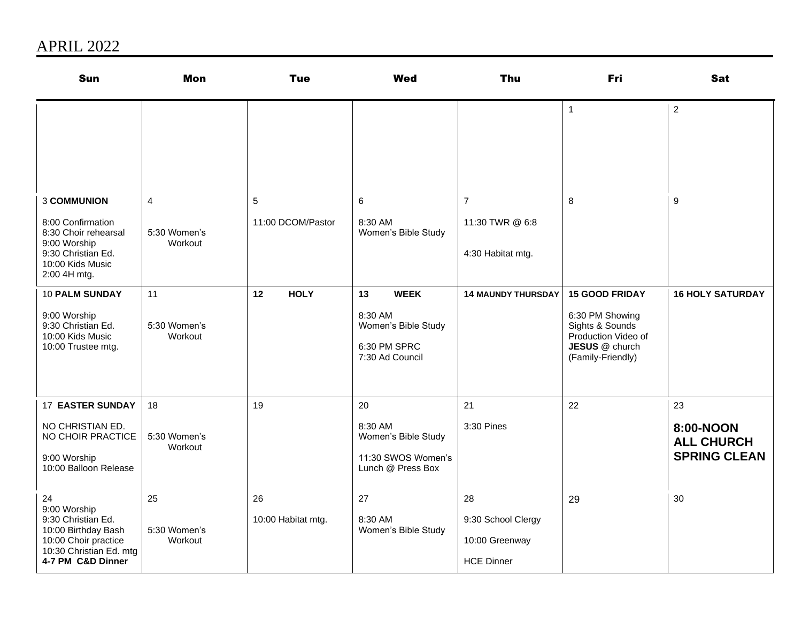#### APRIL 2022

| <b>Sun</b>                                                                                                                                | <b>Mon</b>                    | <b>Tue</b>               | <b>Wed</b>                                                                             | Thu                                                             | Fri                                                                                                                       | <b>Sat</b>                                                  |
|-------------------------------------------------------------------------------------------------------------------------------------------|-------------------------------|--------------------------|----------------------------------------------------------------------------------------|-----------------------------------------------------------------|---------------------------------------------------------------------------------------------------------------------------|-------------------------------------------------------------|
|                                                                                                                                           |                               |                          |                                                                                        |                                                                 | $\mathbf{1}$                                                                                                              | $\overline{c}$                                              |
| <b>3 COMMUNION</b><br>8:00 Confirmation<br>8:30 Choir rehearsal<br>9:00 Worship<br>9:30 Christian Ed.<br>10:00 Kids Music<br>2:00 4H mtg. | 4<br>5:30 Women's<br>Workout  | 5<br>11:00 DCOM/Pastor   | 6<br>8:30 AM<br>Women's Bible Study                                                    | $\overline{7}$<br>11:30 TWR @ 6:8<br>4:30 Habitat mtg.          | 8                                                                                                                         | 9                                                           |
| <b>10 PALM SUNDAY</b><br>9:00 Worship<br>9:30 Christian Ed.<br>10:00 Kids Music<br>10:00 Trustee mtg.                                     | 11<br>5:30 Women's<br>Workout | <b>HOLY</b><br>12        | <b>WEEK</b><br>13<br>8:30 AM<br>Women's Bible Study<br>6:30 PM SPRC<br>7:30 Ad Council | <b>14 MAUNDY THURSDAY</b>                                       | <b>15 GOOD FRIDAY</b><br>6:30 PM Showing<br>Sights & Sounds<br>Production Video of<br>JESUS @ church<br>(Family-Friendly) | <b>16 HOLY SATURDAY</b>                                     |
| <b>17 EASTER SUNDAY</b><br>NO CHRISTIAN ED.<br>NO CHOIR PRACTICE<br>9:00 Worship<br>10:00 Balloon Release                                 | 18<br>5:30 Women's<br>Workout | 19                       | 20<br>8:30 AM<br>Women's Bible Study<br>11:30 SWOS Women's<br>Lunch @ Press Box        | 21<br>3:30 Pines                                                | 22                                                                                                                        | 23<br>8:00-NOON<br><b>ALL CHURCH</b><br><b>SPRING CLEAN</b> |
| 24<br>9:00 Worship<br>9:30 Christian Ed.<br>10:00 Birthday Bash<br>10:00 Choir practice<br>10:30 Christian Ed. mtg<br>4-7 PM C&D Dinner   | 25<br>5:30 Women's<br>Workout | 26<br>10:00 Habitat mtg. | 27<br>8:30 AM<br>Women's Bible Study                                                   | 28<br>9:30 School Clergy<br>10:00 Greenway<br><b>HCE Dinner</b> | 29                                                                                                                        | 30                                                          |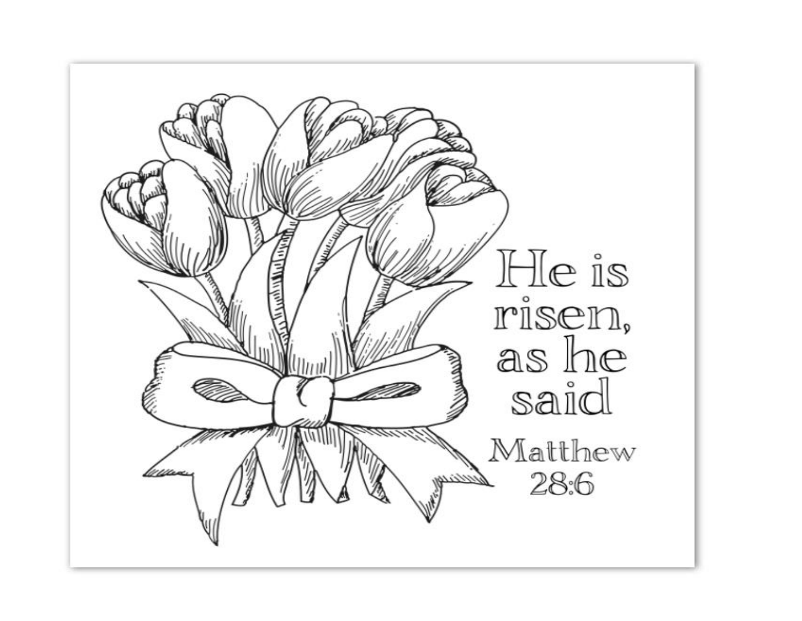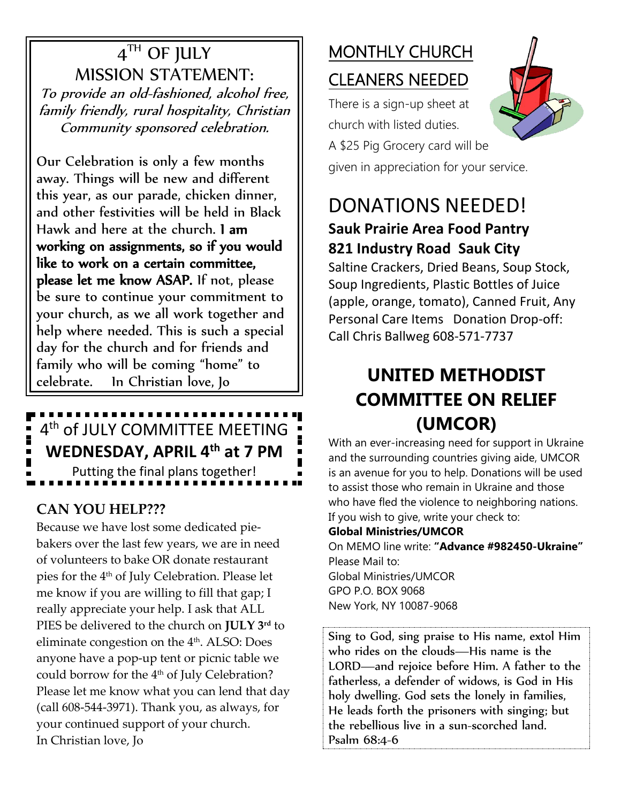#### 4<sup>TH</sup> OF JULY MISSION STATEMENT: To provide an old-fashioned, alcohol free, family friendly, rural hospitality, Christian Community sponsored celebration.

Our Celebration is only a few months away. Things will be new and different this year, as our parade, chicken dinner, and other festivities will be held in Black Hawk and here at the church. I am working on assignments, so if you would like to work on a certain committee, please let me know ASAP. If not, please be sure to continue your commitment to your church, as we all work together and help where needed. This is such a special day for the church and for friends and family who will be coming "home" to celebrate. In Christian love, Jo

## 4 th of JULY COMMITTEE MEETING **WEDNESDAY, APRIL 4th at 7 PM** Putting the final plans together!

#### **CAN YOU HELP???**

Because we have lost some dedicated piebakers over the last few years, we are in need of volunteers to bake OR donate restaurant pies for the 4th of July Celebration. Please let me know if you are willing to fill that gap; I really appreciate your help. I ask that ALL PIES be delivered to the church on **JULY 3rd** to eliminate congestion on the 4<sup>th</sup>. ALSO: Does anyone have a pop-up tent or picnic table we could borrow for the 4<sup>th</sup> of July Celebration? Please let me know what you can lend that day (call 608-544-3971). Thank you, as always, for your continued support of your church. In Christian love, Jo

## MONTHLY CHURCH

### CLEANERS NEEDED

There is a sign-up sheet at church with listed duties. A \$25 Pig Grocery card will be

given in appreciation for your service.

### DONATIONS NEEDED! **Sauk Prairie Area Food Pantry 821 Industry Road Sauk City**

Saltine Crackers, Dried Beans, Soup Stock, Soup Ingredients, Plastic Bottles of Juice (apple, orange, tomato), Canned Fruit, Any Personal Care Items Donation Drop-off: Call Chris Ballweg 608-571-7737

## **UNITED METHODIST COMMITTEE ON RELIEF (UMCOR)**

With an ever-increasing need for support in Ukraine and the surrounding countries giving aide, UMCOR is an avenue for you to help. Donations will be used to assist those who remain in Ukraine and those who have fled the violence to neighboring nations. If you wish to give, write your check to:

#### **Global Ministries/UMCOR**

On MEMO line write: **"Advance #982450-Ukraine"**  Please Mail to: Global Ministries/UMCOR GPO P.O. BOX 9068 New York, NY 10087-9068

Sing to God, sing praise to His name, extol Him who rides on the clouds—His name is the LORD—and rejoice before Him. A father to the fatherless, a defender of widows, is God in His holy dwelling. God sets the lonely in families, He leads forth the prisoners with singing; but the rebellious live in a sun-scorched land. Psalm 68:4-6